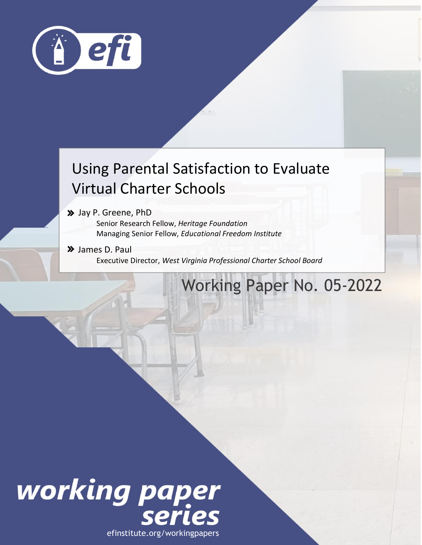

### Using Parental Satisfaction to Evaluate Virtual Charter Schools

Jay P. Greene, PhD

Senior Research Fellow, *Heritage Foundation*  Managing Senior Fellow, *Educational Freedom Institute*

Fellow, *Educational Freedom Institute*

 James D. Paul Executive Director, *West Virginia Professional Charter School Board*

### Working Paper No. 05-2022



efinstitute.org/workingpapers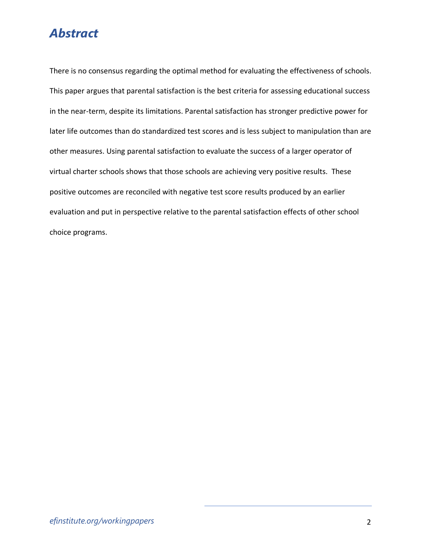### *Abstract*

There is no consensus regarding the optimal method for evaluating the effectiveness of schools. This paper argues that parental satisfaction is the best criteria for assessing educational success in the near-term, despite its limitations. Parental satisfaction has stronger predictive power for later life outcomes than do standardized test scores and is less subject to manipulation than are other measures. Using parental satisfaction to evaluate the success of a larger operator of virtual charter schools shows that those schools are achieving very positive results. These positive outcomes are reconciled with negative test score results produced by an earlier evaluation and put in perspective relative to the parental satisfaction effects of other school choice programs.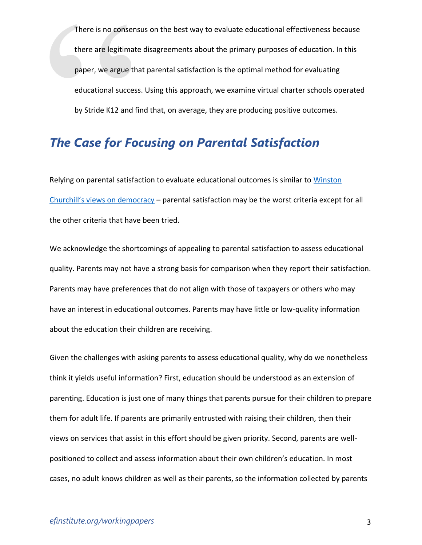There is no consensus on the best way to evaluate educational effectiveness because there are legitimate disagreements about the primary purposes of education. In this paper, we argue that parental satisfaction is the optimal method for evaluating educational success. Using this approach, we examine virtual charter schools operated by Stride K12 and find that, on average, they are producing positive outcomes.

### *The Case for Focusing on Parental Satisfaction*

Relying on parental satisfaction to evaluate educational outcomes is similar to Winston [Churchill's views on democracy](https://www.bartleby.com/73/417.html) – parental satisfaction may be the worst criteria except for all the other criteria that have been tried.

We acknowledge the shortcomings of appealing to parental satisfaction to assess educational quality. Parents may not have a strong basis for comparison when they report their satisfaction. Parents may have preferences that do not align with those of taxpayers or others who may have an interest in educational outcomes. Parents may have little or low-quality information about the education their children are receiving.

Given the challenges with asking parents to assess educational quality, why do we nonetheless think it yields useful information? First, education should be understood as an extension of parenting. Education is just one of many things that parents pursue for their children to prepare them for adult life. If parents are primarily entrusted with raising their children, then their views on services that assist in this effort should be given priority. Second, parents are wellpositioned to collect and assess information about their own children's education. In most cases, no adult knows children as well as their parents, so the information collected by parents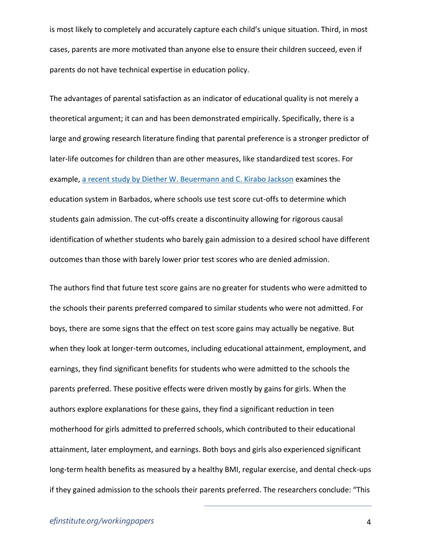is most likely to completely and accurately capture each child's unique situation. Third, in most cases, parents are more motivated than anyone else to ensure their children succeed, even if parents do not have technical expertise in education policy.

The advantages of parental satisfaction as an indicator of educational quality is not merely a theoretical argument; it can and has been demonstrated empirically. Specifically, there is a large and growing research literature finding that parental preference is a stronger predictor of later-life outcomes for children than are other measures, like standardized test scores. For example, a [recent study by Diether W. Beuermann and C. Kirabo Jackson](https://works.bepress.com/c_kirabo_jackson/37/) examines the education system in Barbados, where schools use test score cut-offs to determine which students gain admission. The cut-offs create a discontinuity allowing for rigorous causal identification of whether students who barely gain admission to a desired school have different outcomes than those with barely lower prior test scores who are denied admission.

The authors find that future test score gains are no greater for students who were admitted to the schools their parents preferred compared to similar students who were not admitted. For boys, there are some signs that the effect on test score gains may actually be negative. But when they look at longer-term outcomes, including educational attainment, employment, and earnings, they find significant benefits for students who were admitted to the schools the parents preferred. These positive effects were driven mostly by gains for girls. When the authors explore explanations for these gains, they find a significant reduction in teen motherhood for girls admitted to preferred schools, which contributed to their educational attainment, later employment, and earnings. Both boys and girls also experienced significant long-term health benefits as measured by a healthy BMI, regular exercise, and dental check-ups if they gained admission to the schools their parents preferred. The researchers conclude: "This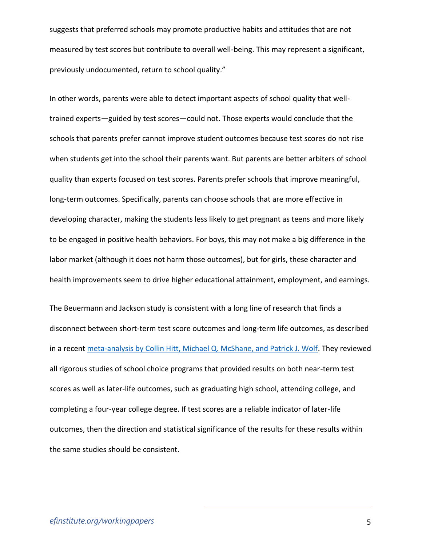suggests that preferred schools may promote productive habits and attitudes that are not measured by test scores but contribute to overall well-being. This may represent a significant, previously undocumented, return to school quality."

In other words, parents were able to detect important aspects of school quality that welltrained experts—guided by test scores—could not. Those experts would conclude that the schools that parents prefer cannot improve student outcomes because test scores do not rise when students get into the school their parents want. But parents are better arbiters of school quality than experts focused on test scores. Parents prefer schools that improve meaningful, long-term outcomes. Specifically, parents can choose schools that are more effective in developing character, making the students less likely to get pregnant as teens and more likely to be engaged in positive health behaviors. For boys, this may not make a big difference in the labor market (although it does not harm those outcomes), but for girls, these character and health improvements seem to drive higher educational attainment, employment, and earnings.

The Beuermann and Jackson study is consistent with a long line of research that finds a disconnect between short-term test score outcomes and long-term life outcomes, as described in a recent [meta-analysis by Collin Hitt, Michael Q. McShane, and Patrick J. Wolf.](https://www.aei.org/wp-content/uploads/2018/04/Do-Impacts-on-Test-Scores-Even-Matter.pdf?x91208) They reviewed all rigorous studies of school choice programs that provided results on both near-term test scores as well as later-life outcomes, such as graduating high school, attending college, and completing a four-year college degree. If test scores are a reliable indicator of later-life outcomes, then the direction and statistical significance of the results for these results within the same studies should be consistent.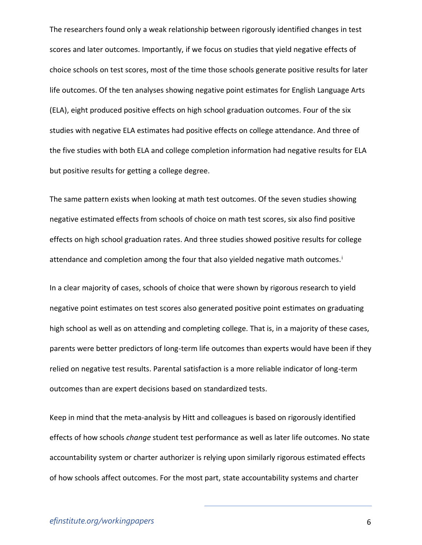The researchers found only a weak relationship between rigorously identified changes in test scores and later outcomes. Importantly, if we focus on studies that yield negative effects of choice schools on test scores, most of the time those schools generate positive results for later life outcomes. Of the ten analyses showing negative point estimates for English Language Arts (ELA), eight produced positive effects on high school graduation outcomes. Four of the six studies with negative ELA estimates had positive effects on college attendance. And three of the five studies with both ELA and college completion information had negative results for ELA but positive results for getting a college degree.

The same pattern exists when looking at math test outcomes. Of the seven studies showing negative estimated effects from schools of choice on math test scores, six also find positive effects on high school graduation rates. And three studies showed positive results for college attendance and completion among the four that also yielded negative math outcomes.<sup>i</sup>

In a clear majority of cases, schools of choice that were shown by rigorous research to yield negative point estimates on test scores also generated positive point estimates on graduating high school as well as on attending and completing college. That is, in a majority of these cases, parents were better predictors of long-term life outcomes than experts would have been if they relied on negative test results. Parental satisfaction is a more reliable indicator of long-term outcomes than are expert decisions based on standardized tests.

Keep in mind that the meta-analysis by Hitt and colleagues is based on rigorously identified effects of how schools *change* student test performance as well as later life outcomes. No state accountability system or charter authorizer is relying upon similarly rigorous estimated effects of how schools affect outcomes. For the most part, state accountability systems and charter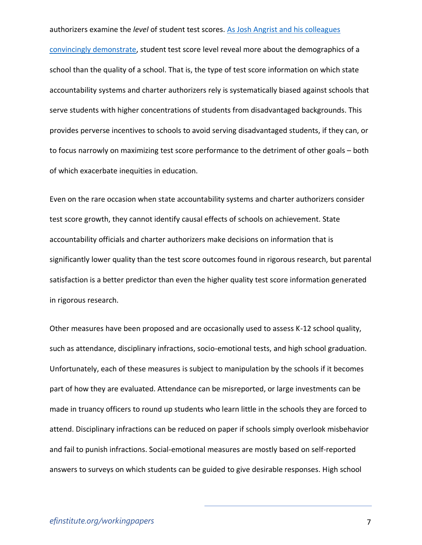#### authorizers examine the *level* of student test scores. [As Josh Angrist and his colleagues](https://blueprintlabs.mit.edu/research/race-and-the-mismeasure-of-school-quality/)

[convincingly demonstrate,](https://blueprintlabs.mit.edu/research/race-and-the-mismeasure-of-school-quality/) student test score level reveal more about the demographics of a school than the quality of a school. That is, the type of test score information on which state accountability systems and charter authorizers rely is systematically biased against schools that serve students with higher concentrations of students from disadvantaged backgrounds. This provides perverse incentives to schools to avoid serving disadvantaged students, if they can, or to focus narrowly on maximizing test score performance to the detriment of other goals – both of which exacerbate inequities in education.

Even on the rare occasion when state accountability systems and charter authorizers consider test score growth, they cannot identify causal effects of schools on achievement. State accountability officials and charter authorizers make decisions on information that is significantly lower quality than the test score outcomes found in rigorous research, but parental satisfaction is a better predictor than even the higher quality test score information generated in rigorous research.

Other measures have been proposed and are occasionally used to assess K-12 school quality, such as attendance, disciplinary infractions, socio-emotional tests, and high school graduation. Unfortunately, each of these measures is subject to manipulation by the schools if it becomes part of how they are evaluated. Attendance can be misreported, or large investments can be made in truancy officers to round up students who learn little in the schools they are forced to attend. Disciplinary infractions can be reduced on paper if schools simply overlook misbehavior and fail to punish infractions. Social-emotional measures are mostly based on self-reported answers to surveys on which students can be guided to give desirable responses. High school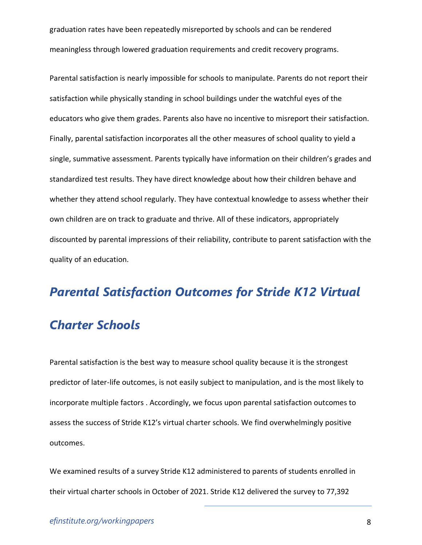graduation rates have been repeatedly misreported by schools and can be rendered meaningless through lowered graduation requirements and credit recovery programs.

Parental satisfaction is nearly impossible for schools to manipulate. Parents do not report their satisfaction while physically standing in school buildings under the watchful eyes of the educators who give them grades. Parents also have no incentive to misreport their satisfaction. Finally, parental satisfaction incorporates all the other measures of school quality to yield a single, summative assessment. Parents typically have information on their children's grades and standardized test results. They have direct knowledge about how their children behave and whether they attend school regularly. They have contextual knowledge to assess whether their own children are on track to graduate and thrive. All of these indicators, appropriately discounted by parental impressions of their reliability, contribute to parent satisfaction with the quality of an education.

## *Parental Satisfaction Outcomes for Stride K12 Virtual Charter Schools*

Parental satisfaction is the best way to measure school quality because it is the strongest predictor of later-life outcomes, is not easily subject to manipulation, and is the most likely to incorporate multiple factors . Accordingly, we focus upon parental satisfaction outcomes to assess the success of Stride K12's virtual charter schools. We find overwhelmingly positive outcomes.

We examined results of a survey Stride K12 administered to parents of students enrolled in their virtual charter schools in October of 2021. Stride K12 delivered the survey to 77,392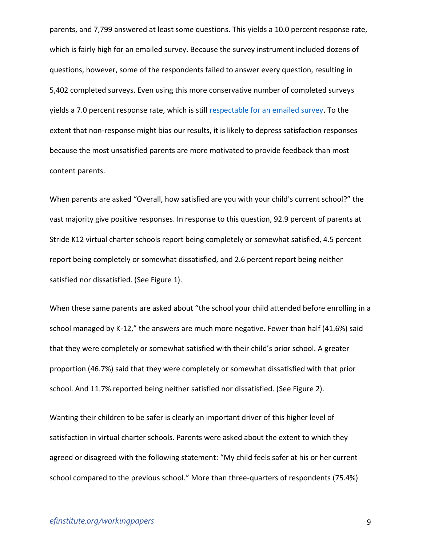parents, and 7,799 answered at least some questions. This yields a 10.0 percent response rate, which is fairly high for an emailed survey. Because the survey instrument included dozens of questions, however, some of the respondents failed to answer every question, resulting in 5,402 completed surveys. Even using this more conservative number of completed surveys yields a 7.0 percent response rate, which is still [respectable for an emailed survey.](https://delighted.com/blog/average-survey-response-rate#:~:text=So%2C%20what%20is%20a%20good,rate%20is%2050%25%20or%20higher.) To the extent that non-response might bias our results, it is likely to depress satisfaction responses because the most unsatisfied parents are more motivated to provide feedback than most content parents.

When parents are asked "Overall, how satisfied are you with your child's current school?" the vast majority give positive responses. In response to this question, 92.9 percent of parents at Stride K12 virtual charter schools report being completely or somewhat satisfied, 4.5 percent report being completely or somewhat dissatisfied, and 2.6 percent report being neither satisfied nor dissatisfied. (See Figure 1).

When these same parents are asked about "the school your child attended before enrolling in a school managed by K-12," the answers are much more negative. Fewer than half (41.6%) said that they were completely or somewhat satisfied with their child's prior school. A greater proportion (46.7%) said that they were completely or somewhat dissatisfied with that prior school. And 11.7% reported being neither satisfied nor dissatisfied. (See Figure 2).

Wanting their children to be safer is clearly an important driver of this higher level of satisfaction in virtual charter schools. Parents were asked about the extent to which they agreed or disagreed with the following statement: "My child feels safer at his or her current school compared to the previous school." More than three-quarters of respondents (75.4%)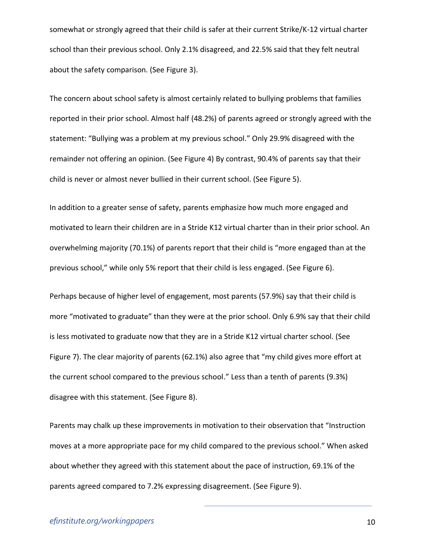somewhat or strongly agreed that their child is safer at their current Strike/K-12 virtual charter school than their previous school. Only 2.1% disagreed, and 22.5% said that they felt neutral about the safety comparison. (See Figure 3).

The concern about school safety is almost certainly related to bullying problems that families reported in their prior school. Almost half (48.2%) of parents agreed or strongly agreed with the statement: "Bullying was a problem at my previous school." Only 29.9% disagreed with the remainder not offering an opinion. (See Figure 4) By contrast, 90.4% of parents say that their child is never or almost never bullied in their current school. (See Figure 5).

In addition to a greater sense of safety, parents emphasize how much more engaged and motivated to learn their children are in a Stride K12 virtual charter than in their prior school. An overwhelming majority (70.1%) of parents report that their child is "more engaged than at the previous school," while only 5% report that their child is less engaged. (See Figure 6).

Perhaps because of higher level of engagement, most parents (57.9%) say that their child is more "motivated to graduate" than they were at the prior school. Only 6.9% say that their child is less motivated to graduate now that they are in a Stride K12 virtual charter school. (See Figure 7). The clear majority of parents (62.1%) also agree that "my child gives more effort at the current school compared to the previous school." Less than a tenth of parents (9.3%) disagree with this statement. (See Figure 8).

Parents may chalk up these improvements in motivation to their observation that "Instruction moves at a more appropriate pace for my child compared to the previous school." When asked about whether they agreed with this statement about the pace of instruction, 69.1% of the parents agreed compared to 7.2% expressing disagreement. (See Figure 9).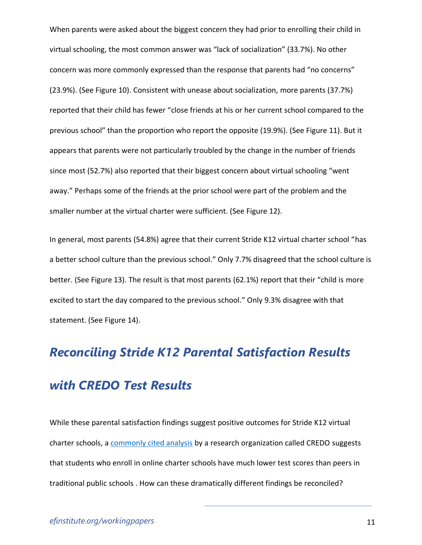When parents were asked about the biggest concern they had prior to enrolling their child in virtual schooling, the most common answer was "lack of socialization" (33.7%). No other concern was more commonly expressed than the response that parents had "no concerns" (23.9%). (See Figure 10). Consistent with unease about socialization, more parents (37.7%) reported that their child has fewer "close friends at his or her current school compared to the previous school" than the proportion who report the opposite (19.9%). (See Figure 11). But it appears that parents were not particularly troubled by the change in the number of friends since most (52.7%) also reported that their biggest concern about virtual schooling "went away." Perhaps some of the friends at the prior school were part of the problem and the smaller number at the virtual charter were sufficient. (See Figure 12).

In general, most parents (54.8%) agree that their current Stride K12 virtual charter school "has a better school culture than the previous school." Only 7.7% disagreed that the school culture is better. (See Figure 13). The result is that most parents (62.1%) report that their "child is more excited to start the day compared to the previous school." Only 9.3% disagree with that statement. (See Figure 14).

# *Reconciling Stride K12 Parental Satisfaction Results with CREDO Test Results*

While these parental satisfaction findings suggest positive outcomes for Stride K12 virtual charter schools, a [commonly cited analysis](https://credo.stanford.edu/wp-content/uploads/2021/08/online_charter_study_final.pdf) by a research organization called CREDO suggests that students who enroll in online charter schools have much lower test scores than peers in traditional public schools . How can these dramatically different findings be reconciled?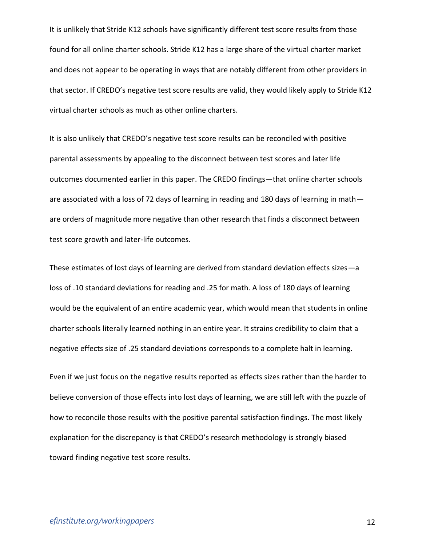It is unlikely that Stride K12 schools have significantly different test score results from those found for all online charter schools. Stride K12 has a large share of the virtual charter market and does not appear to be operating in ways that are notably different from other providers in that sector. If CREDO's negative test score results are valid, they would likely apply to Stride K12 virtual charter schools as much as other online charters.

It is also unlikely that CREDO's negative test score results can be reconciled with positive parental assessments by appealing to the disconnect between test scores and later life outcomes documented earlier in this paper. The CREDO findings—that online charter schools are associated with a loss of 72 days of learning in reading and 180 days of learning in math are orders of magnitude more negative than other research that finds a disconnect between test score growth and later-life outcomes.

These estimates of lost days of learning are derived from standard deviation effects sizes—a loss of .10 standard deviations for reading and .25 for math. A loss of 180 days of learning would be the equivalent of an entire academic year, which would mean that students in online charter schools literally learned nothing in an entire year. It strains credibility to claim that a negative effects size of .25 standard deviations corresponds to a complete halt in learning.

Even if we just focus on the negative results reported as effects sizes rather than the harder to believe conversion of those effects into lost days of learning, we are still left with the puzzle of how to reconcile those results with the positive parental satisfaction findings. The most likely explanation for the discrepancy is that CREDO's research methodology is strongly biased toward finding negative test score results.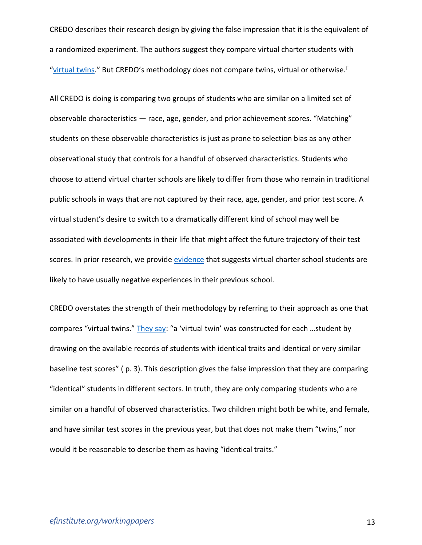CREDO describes their research design by giving the false impression that it is the equivalent of a randomized experiment. The authors suggest they compare virtual charter students with "[virtual twins](http://credo.stanford.edu/pdfs/Closure_FINAL_Executive_Summary.pdf)." But CREDO's methodology does not compare twins, virtual or otherwise.<sup>ii</sup>

All CREDO is doing is comparing two groups of students who are similar on a limited set of observable characteristics — race, age, gender, and prior achievement scores. "Matching" students on these observable characteristics is just as prone to selection bias as any other observational study that controls for a handful of observed characteristics. Students who choose to attend virtual charter schools are likely to differ from those who remain in traditional public schools in ways that are not captured by their race, age, gender, and prior test score. A virtual student's desire to switch to a dramatically different kind of school may well be associated with developments in their life that might affect the future trajectory of their test scores. In prior research, we provide [evidence](https://scholarworks.uark.edu/edrepub/133/) that suggests virtual charter school students are likely to have usually negative experiences in their previous school.

CREDO overstates the strength of their methodology by referring to their approach as one that compares "virtual twins." [They say](https://credo.stanford.edu/wp-content/uploads/2021/08/closure_final_executive_summary.pdf): "a 'virtual twin' was constructed for each ...student by drawing on the available records of students with identical traits and identical or very similar baseline test scores" ( p. 3). This description gives the false impression that they are comparing "identical" students in different sectors. In truth, they are only comparing students who are similar on a handful of observed characteristics. Two children might both be white, and female, and have similar test scores in the previous year, but that does not make them "twins," nor would it be reasonable to describe them as having "identical traits."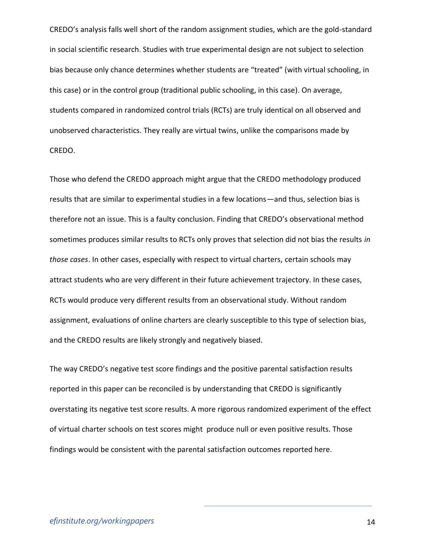CREDO's analysis falls well short of the random assignment studies, which are the gold-standard in social scientific research. Studies with true experimental design are not subject to selection bias because only chance determines whether students are "treated" (with virtual schooling, in this case) or in the control group (traditional public schooling, in this case). On average, students compared in randomized control trials (RCTs) are truly identical on all observed and unobserved characteristics. They really are virtual twins, unlike the comparisons made by CREDO.

Those who defend the CREDO approach might argue that the CREDO methodology produced results that are similar to experimental studies in a few locations—and thus, selection bias is therefore not an issue. This is a faulty conclusion. Finding that CREDO's observational method sometimes produces similar results to RCTs only proves that selection did not bias the results *in those cases*. In other cases, especially with respect to virtual charters, certain schools may attract students who are very different in their future achievement trajectory. In these cases, RCTs would produce very different results from an observational study. Without random assignment, evaluations of online charters are clearly susceptible to this type of selection bias, and the CREDO results are likely strongly and negatively biased.

The way CREDO's negative test score findings and the positive parental satisfaction results reported in this paper can be reconciled is by understanding that CREDO is significantly overstating its negative test score results. A more rigorous randomized experiment of the effect of virtual charter schools on test scores might produce null or even positive results. Those findings would be consistent with the parental satisfaction outcomes reported here.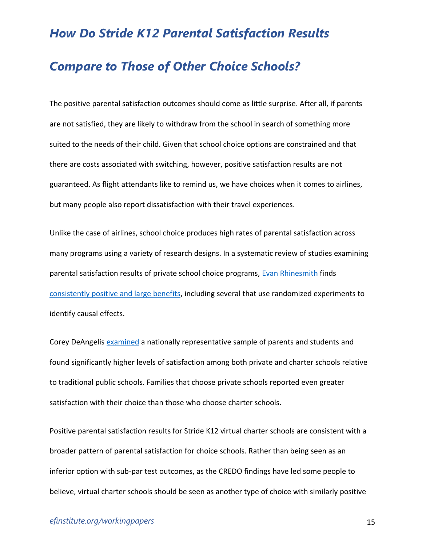#### *How Do Stride K12 Parental Satisfaction Results*

#### *Compare to Those of Other Choice Schools?*

The positive parental satisfaction outcomes should come as little surprise. After all, if parents are not satisfied, they are likely to withdraw from the school in search of something more suited to the needs of their child. Given that school choice options are constrained and that there are costs associated with switching, however, positive satisfaction results are not guaranteed. As flight attendants like to remind us, we have choices when it comes to airlines, but many people also report dissatisfaction with their travel experiences.

Unlike the case of airlines, school choice produces high rates of parental satisfaction across many programs using a variety of research designs. In a systematic review of studies examining parental satisfaction results of private school choice programs, [Evan Rhinesmith](https://books.google.com/books?id=5HjpDwAAQBAJ&pg=PT94&lpg=PT94&dq=A+review+of+the+research+on+parent+satisfaction+in+private+school+choice+programs&source=bl&ots=2FwatfzOXS&sig=ACfU3U0BVWbPOxyWRmMg79S8eB2Kw8lruA&hl=en&sa=X&ved=2ahUKEwjjp-nYp8n3AhUPg2oFHRHwCrgQ6AF6BAgfEAM#v=onepage&q=A%20review%20of%20the%20research%20on%20parent%20satisfaction%20in%20private%20school%20choice%20programs&f=false) finds [consistently positive and large benefits,](https://www.tandfonline.com/doi/abs/10.1080/15582159.2017.1395639?journalCode=wjsc20) including several that use randomized experiments to identify causal effects.

Corey DeAngelis [examined](https://www.edworkingpapers.com/sites/default/files/ai19-147.pdf) a nationally representative sample of parents and students and found significantly higher levels of satisfaction among both private and charter schools relative to traditional public schools. Families that choose private schools reported even greater satisfaction with their choice than those who choose charter schools.

Positive parental satisfaction results for Stride K12 virtual charter schools are consistent with a broader pattern of parental satisfaction for choice schools. Rather than being seen as an inferior option with sub-par test outcomes, as the CREDO findings have led some people to believe, virtual charter schools should be seen as another type of choice with similarly positive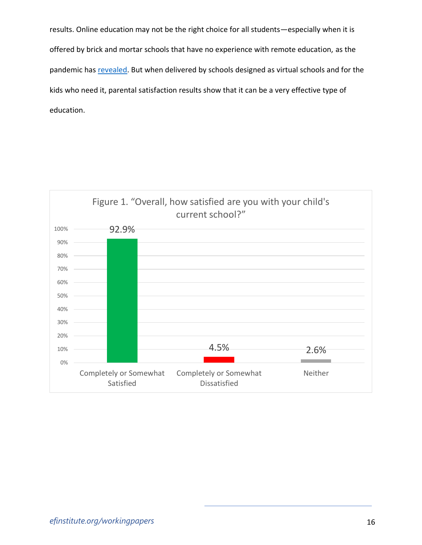results. Online education may not be the right choice for all students—especially when it is offered by brick and mortar schools that have no experience with remote education, as the pandemic has [revealed.](https://www.nber.org/papers/w30010) But when delivered by schools designed as virtual schools and for the kids who need it, parental satisfaction results show that it can be a very effective type of education.

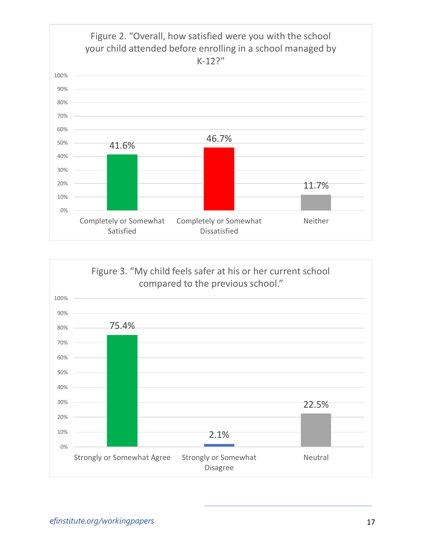

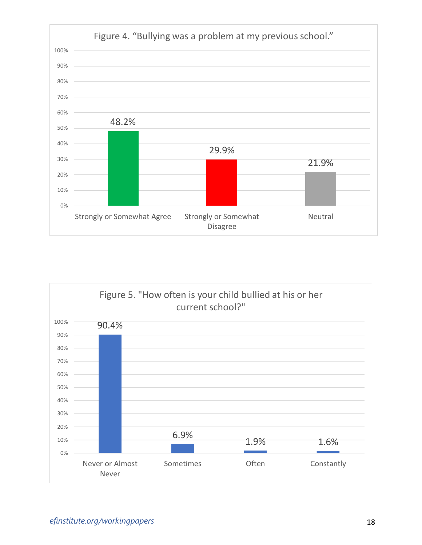

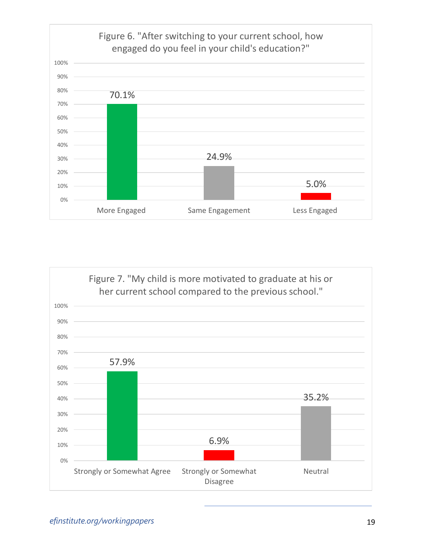

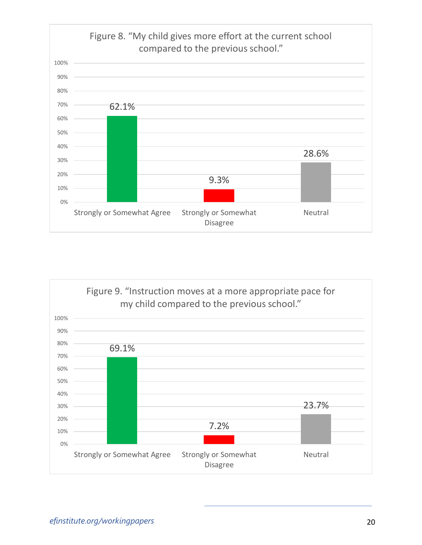

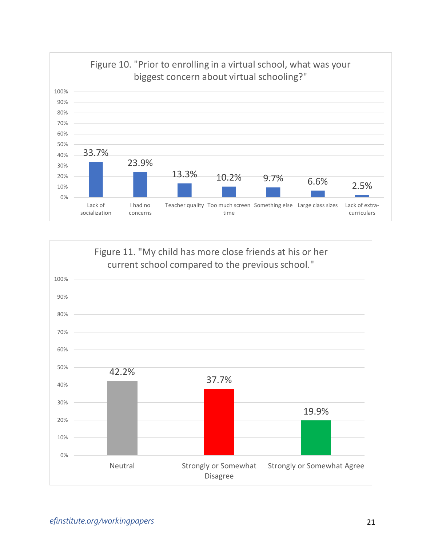

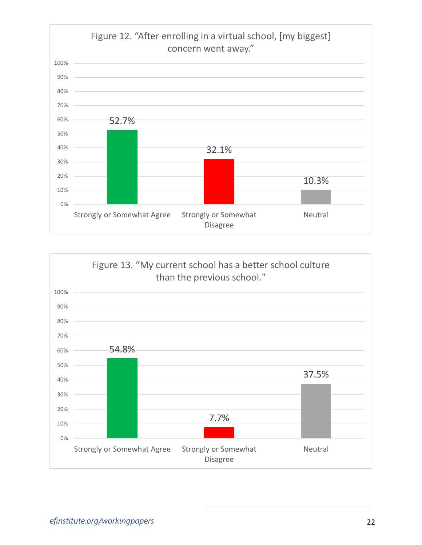

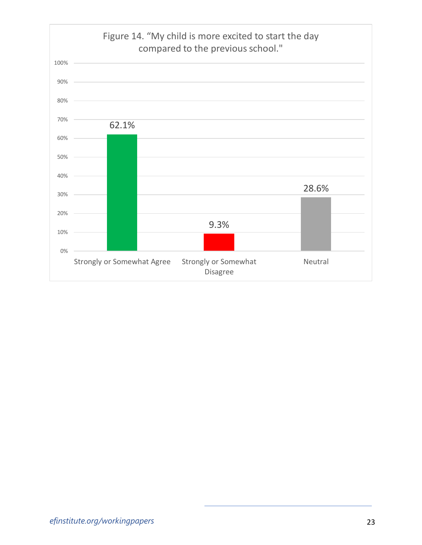